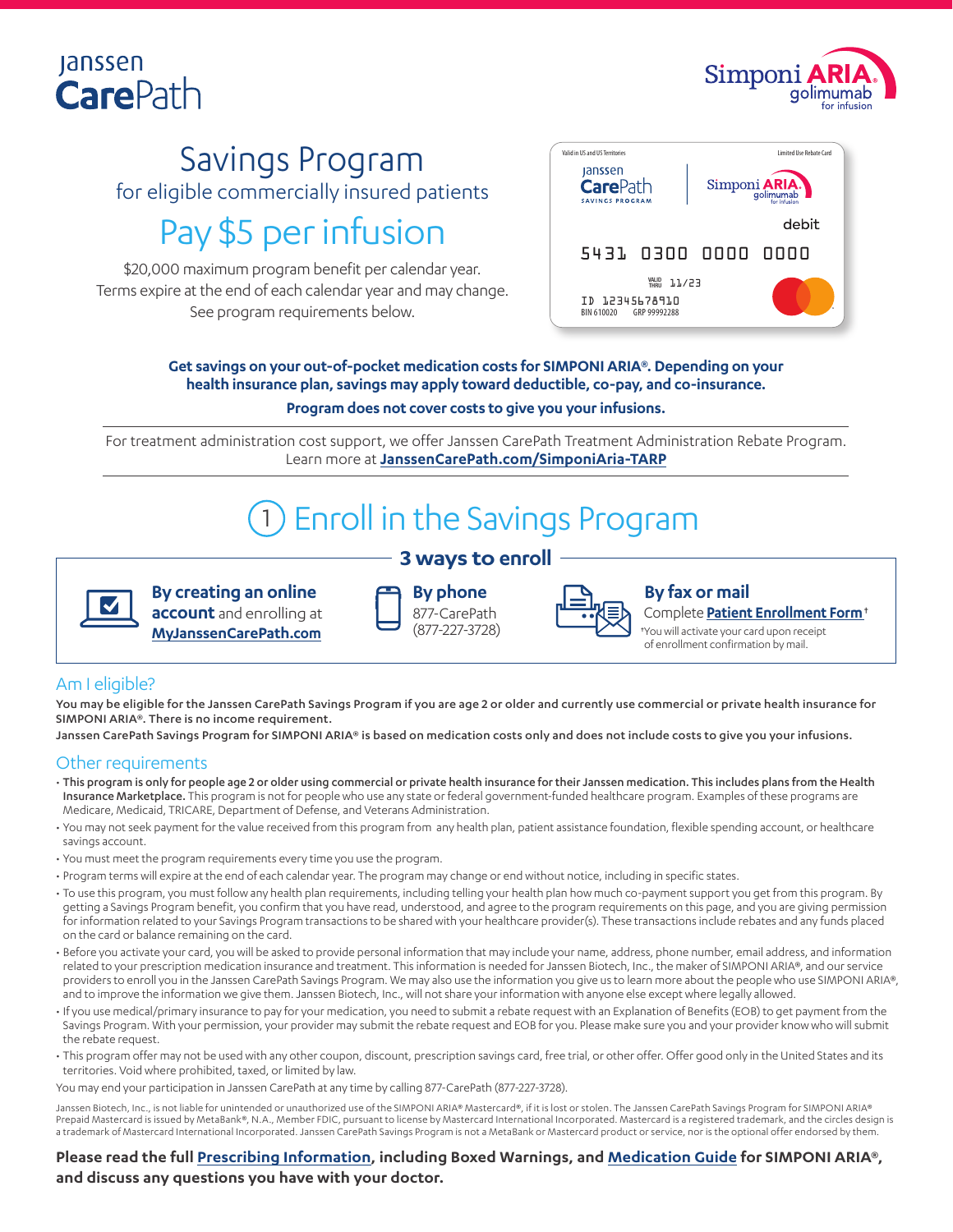### **Janssen CarePath**



## Savings Program for eligible commercially insured patients Pay \$5 per infusion

\$20,000 maximum program benefit per calendar year. Terms expire at the end of each calendar year and may change. See program requirements below.



**Get savings on your out-of-pocket medication costs for SIMPONI ARIA®. Depending on your health insurance plan, savings may apply toward deductible, co-pay, and co-insurance. Program does not cover costs to give you your infusions.**

For treatment administration cost support, we offer Janssen CarePath Treatment Administration Rebate Program. Learn more at **[JanssenCarePath.com/SimponiAria-TARP](https://www.janssencarepath.com/sites/www.janssencarepath.com/files/simponiaria-jcp-tarp-program-overview.pdf)**

# Enroll in the Savings Program

**3 ways to enroll**



**By creating an online account** and enrolling at **[MyJanssenCarePath.com](https://www.myjanssencarepath.com/s/login/SelfRegister?regBy=Self)** **By phone** 877-CarePath (877-227-3728)



#### **By fax or mail**

Complete **[Patient Enrollment Form](https://www.janssencarepath.com/sites/www.janssencarepath.com/files/simponiaria-patient-enrollment-form.pdf)**† †You will activate your card upon receipt

of enrollment confirmation by mail.

#### Am I eligible?

You may be eligible for the Janssen CarePath Savings Program if you are age 2 or older and currently use commercial or private health insurance for SIMPONI ARIA®. There is no income requirement.

Janssen CarePath Savings Program for SIMPONI ARIA® is based on medication costs only and does not include costs to give you your infusions.

#### Other requirements

- This program is only for people age 2 or older using commercial or private health insurance for their Janssen medication. This includes plans from the Health Insurance Marketplace. This program is not for people who use any state or federal government-funded healthcare program. Examples of these programs are Medicare, Medicaid, TRICARE, Department of Defense, and Veterans Administration.
- You may not seek payment for the value received from this program from any health plan, patient assistance foundation, flexible spending account, or healthcare savings account.
- You must meet the program requirements every time you use the program.
- Program terms will expire at the end of each calendar year. The program may change or end without notice, including in specific states.
- To use this program, you must follow any health plan requirements, including telling your health plan how much co-payment support you get from this program. By getting a Savings Program benefit, you confirm that you have read, understood, and agree to the program requirements on this page, and you are giving permission for information related to your Savings Program transactions to be shared with your healthcare provider(s). These transactions include rebates and any funds placed on the card or balance remaining on the card.
- Before you activate your card, you will be asked to provide personal information that may include your name, address, phone number, email address, and information related to your prescription medication insurance and treatment. This information is needed for Janssen Biotech, Inc., the maker of SIMPONI ARIA®, and our service providers to enroll you in the Janssen CarePath Savings Program. We may also use the information you give us to learn more about the people who use SIMPONI ARIA®, and to improve the information we give them. Janssen Biotech, Inc., will not share your information with anyone else except where legally allowed.
- If you use medical/primary insurance to pay for your medication, you need to submit a rebate request with an Explanation of Benefits (EOB) to get payment from the Savings Program. With your permission, your provider may submit the rebate request and EOB for you. Please make sure you and your provider know who will submit the rebate request.
- This program offer may not be used with any other coupon, discount, prescription savings card, free trial, or other offer. Offer good only in the United States and its territories. Void where prohibited, taxed, or limited by law.

You may end your participation in Janssen CarePath at any time by calling 877-CarePath (877-227-3728).

Janssen Biotech, Inc., is not liable for unintended or unauthorized use of the SIMPONI ARIA® Mastercard®, if it is lost or stolen. The Janssen CarePath Savings Program for SIMPONI ARIA® Prepaid Mastercard is issued by MetaBank®, N.A., Member FDIC, pursuant to license by Mastercard International Incorporated. Mastercard is a registered trademark, and the circles design is a trademark of Mastercard International Incorporated. Janssen CarePath Savings Program is not a MetaBank or Mastercard product or service, nor is the optional offer endorsed by them.

#### **Please read the full [Prescribing Information](https://www.janssenlabels.com/package-insert/product-monograph/prescribing-information/SIMPONI+ARIA-pi.pdf), including Boxed Warnings, and [Medication Guide](https://www.janssenlabels.com/package-insert/product-patient-information/SIMPONI+ARIA-medication-guide.pdf) for SIMPONI ARIA®, and discuss any questions you have with your doctor.**